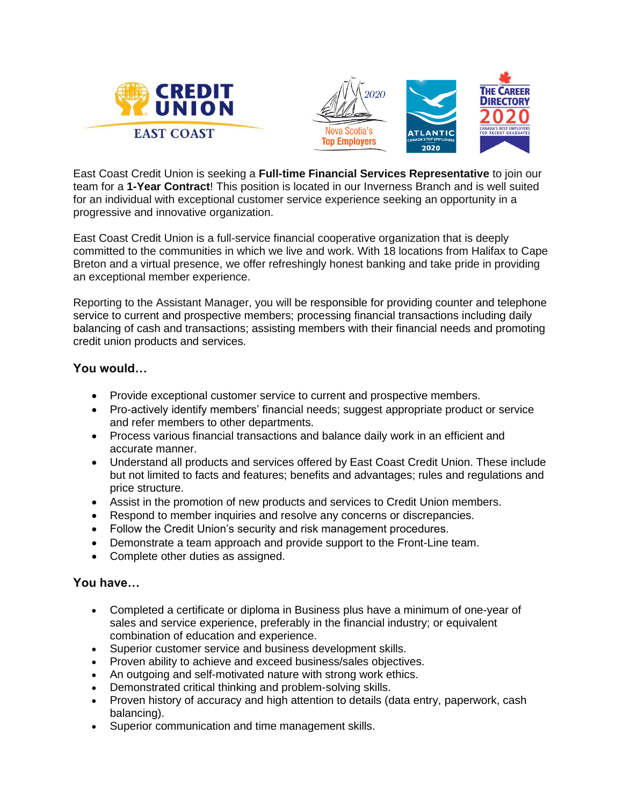





East Coast Credit Union is seeking a **Full-time Financial Services Representative** to join our team for a **1-Year Contract**! This position is located in our Inverness Branch and is well suited for an individual with exceptional customer service experience seeking an opportunity in a progressive and innovative organization.

East Coast Credit Union is a full-service financial cooperative organization that is deeply committed to the communities in which we live and work. With 18 locations from Halifax to Cape Breton and a virtual presence, we offer refreshingly honest banking and take pride in providing an exceptional member experience.

Reporting to the Assistant Manager, you will be responsible for providing counter and telephone service to current and prospective members; processing financial transactions including daily balancing of cash and transactions; assisting members with their financial needs and promoting credit union products and services.

## **You would…**

- Provide exceptional customer service to current and prospective members.
- Pro-actively identify members' financial needs; suggest appropriate product or service and refer members to other departments.
- Process various financial transactions and balance daily work in an efficient and accurate manner.
- Understand all products and services offered by East Coast Credit Union. These include but not limited to facts and features; benefits and advantages; rules and regulations and price structure.
- Assist in the promotion of new products and services to Credit Union members.
- Respond to member inquiries and resolve any concerns or discrepancies.
- Follow the Credit Union's security and risk management procedures.
- Demonstrate a team approach and provide support to the Front-Line team.
- Complete other duties as assigned.

## **You have…**

- Completed a certificate or diploma in Business plus have a minimum of one-year of sales and service experience, preferably in the financial industry; or equivalent combination of education and experience.
- Superior customer service and business development skills.
- Proven ability to achieve and exceed business/sales objectives.
- An outgoing and self-motivated nature with strong work ethics.
- Demonstrated critical thinking and problem-solving skills.
- Proven history of accuracy and high attention to details (data entry, paperwork, cash balancing).
- Superior communication and time management skills.